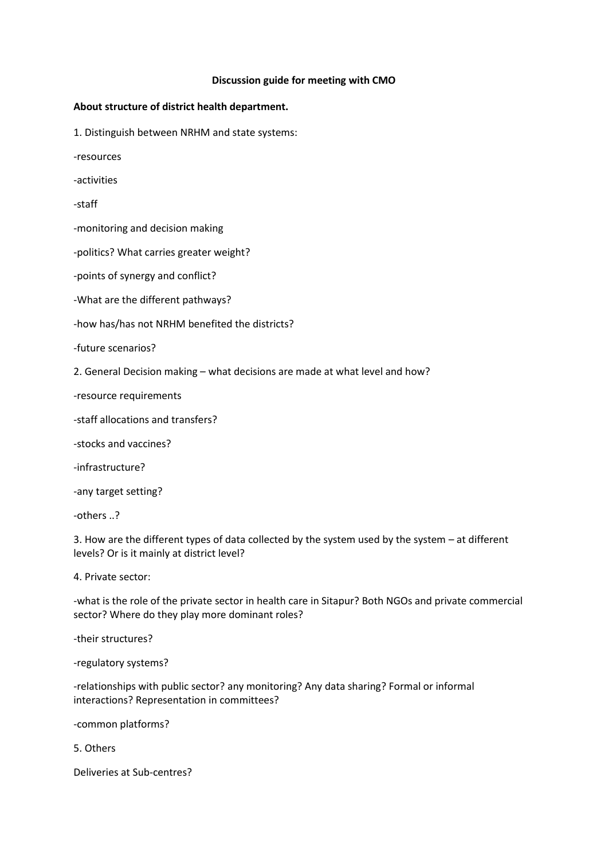## **Discussion guide for meeting with CMO**

## **About structure of district health department.**

1. Distinguish between NRHM and state systems:

-resources

-activities

-staff

-monitoring and decision making

-politics? What carries greater weight?

-points of synergy and conflict?

-What are the different pathways?

-how has/has not NRHM benefited the districts?

-future scenarios?

2. General Decision making – what decisions are made at what level and how?

-resource requirements

-staff allocations and transfers?

-stocks and vaccines?

-infrastructure?

-any target setting?

-others ..?

3. How are the different types of data collected by the system used by the system – at different levels? Or is it mainly at district level?

4. Private sector:

-what is the role of the private sector in health care in Sitapur? Both NGOs and private commercial sector? Where do they play more dominant roles?

-their structures?

-regulatory systems?

-relationships with public sector? any monitoring? Any data sharing? Formal or informal interactions? Representation in committees?

-common platforms?

5. Others

Deliveries at Sub-centres?